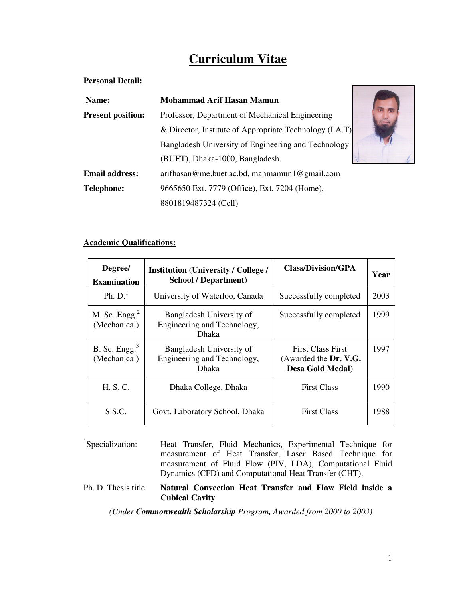# **Curriculum Vitae**

## **Personal Detail:**

| Name:                                                                       | Mohammad Arif Hasan Mamun                               |  |  |
|-----------------------------------------------------------------------------|---------------------------------------------------------|--|--|
| <b>Present position:</b><br>Professor, Department of Mechanical Engineering |                                                         |  |  |
|                                                                             | & Director, Institute of Appropriate Technology (I.A.T) |  |  |
|                                                                             | Bangladesh University of Engineering and Technology     |  |  |
|                                                                             | (BUET), Dhaka-1000, Bangladesh.                         |  |  |
| <b>Email address:</b>                                                       | arifhasan@me.buet.ac.bd, mahmamun1@gmail.com            |  |  |
| <b>Telephone:</b>                                                           | 9665650 Ext. 7779 (Office), Ext. 7204 (Home),           |  |  |
|                                                                             | 8801819487324 (Cell)                                    |  |  |

## **Academic Qualifications:**

| Degree/<br><b>Examination</b>    | <b>Institution (University / College /</b><br><b>School / Department)</b> | Class/Division/GPA                                                    | Year |
|----------------------------------|---------------------------------------------------------------------------|-----------------------------------------------------------------------|------|
| Ph. $D1$                         | University of Waterloo, Canada                                            | Successfully completed                                                | 2003 |
| M. Sc. $Engg.2$<br>(Mechanical)  | Bangladesh University of<br>Engineering and Technology,<br>Dhaka          | Successfully completed                                                | 1999 |
| B. Sc. Engg. $3$<br>(Mechanical) | Bangladesh University of<br>Engineering and Technology,<br>Dhaka          | <b>First Class First</b><br>(Awarded the Dr. V.G.<br>Desa Gold Medal) | 1997 |
| H. S. C.                         | Dhaka College, Dhaka                                                      | <b>First Class</b>                                                    | 1990 |
| S.S.C.                           | Govt. Laboratory School, Dhaka                                            | <b>First Class</b>                                                    | 1988 |

<sup>1</sup>Specialization: Heat Transfer, Fluid Mechanics, Experimental Technique for measurement of Heat Transfer, Laser Based Technique for measurement of Fluid Flow (PIV, LDA), Computational Fluid Dynamics (CFD) and Computational Heat Transfer (CHT).

Ph. D. Thesis title: **Natural Convection Heat Transfer and Flow Field inside a Cubical Cavity**

*(Under Commonwealth Scholarship Program, Awarded from 2000 to 2003)*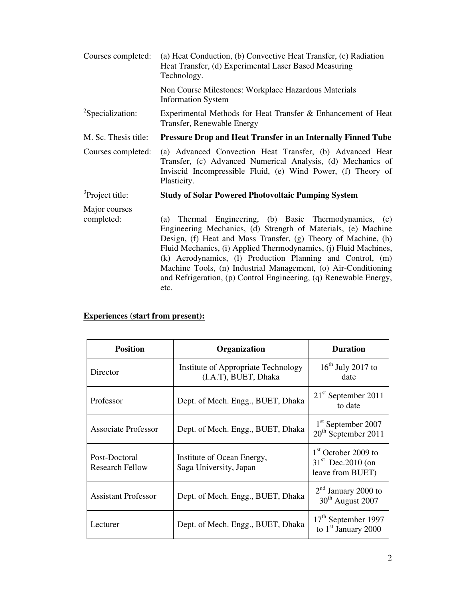| Courses completed:           | (a) Heat Conduction, (b) Convective Heat Transfer, (c) Radiation<br>Heat Transfer, (d) Experimental Laser Based Measuring<br>Technology.                                                                                                                                                                                                                                                                                                                                      |
|------------------------------|-------------------------------------------------------------------------------------------------------------------------------------------------------------------------------------------------------------------------------------------------------------------------------------------------------------------------------------------------------------------------------------------------------------------------------------------------------------------------------|
|                              | Non Course Milestones: Workplace Hazardous Materials<br><b>Information System</b>                                                                                                                                                                                                                                                                                                                                                                                             |
| <sup>2</sup> Specialization: | Experimental Methods for Heat Transfer & Enhancement of Heat<br>Transfer, Renewable Energy                                                                                                                                                                                                                                                                                                                                                                                    |
| M. Sc. Thesis title:         | <b>Pressure Drop and Heat Transfer in an Internally Finned Tube</b>                                                                                                                                                                                                                                                                                                                                                                                                           |
| Courses completed:           | (a) Advanced Convection Heat Transfer, (b) Advanced Heat<br>Transfer, (c) Advanced Numerical Analysis, (d) Mechanics of<br>Inviscid Incompressible Fluid, (e) Wind Power, (f) Theory of<br>Plasticity.                                                                                                                                                                                                                                                                        |
| <sup>3</sup> Project title:  | <b>Study of Solar Powered Photovoltaic Pumping System</b>                                                                                                                                                                                                                                                                                                                                                                                                                     |
| Major courses<br>completed:  | Thermal Engineering, (b) Basic Thermodynamics, (c)<br>(a)<br>Engineering Mechanics, (d) Strength of Materials, (e) Machine<br>Design, (f) Heat and Mass Transfer, (g) Theory of Machine, (h)<br>Fluid Mechanics, (i) Applied Thermodynamics, (j) Fluid Machines,<br>(k) Aerodynamics, (l) Production Planning and Control, (m)<br>Machine Tools, (n) Industrial Management, (o) Air-Conditioning<br>and Refrigeration, (p) Control Engineering, (q) Renewable Energy,<br>etc. |

# **Experiences (start from present):**

| <b>Position</b>                         | Organization                                                | <b>Duration</b>                                                   |
|-----------------------------------------|-------------------------------------------------------------|-------------------------------------------------------------------|
| Director                                | Institute of Appropriate Technology<br>(I.A.T), BUET, Dhaka | $16th$ July 2017 to<br>date                                       |
| Professor                               | Dept. of Mech. Engg., BUET, Dhaka                           | $21st$ September 2011<br>to date                                  |
| <b>Associate Professor</b>              | Dept. of Mech. Engg., BUET, Dhaka                           | 1 <sup>st</sup> September 2007<br>$20th$ September 2011           |
| Post-Doctoral<br><b>Research Fellow</b> | Institute of Ocean Energy,<br>Saga University, Japan        | $1st$ October 2009 to<br>$31st$ Dec. 2010 (on<br>leave from BUET) |
| <b>Assistant Professor</b>              | Dept. of Mech. Engg., BUET, Dhaka                           | $2nd$ January 2000 to<br>30 <sup>th</sup> August 2007             |
| Lecturer                                | Dept. of Mech. Engg., BUET, Dhaka                           | 17 <sup>th</sup> September 1997<br>to $1st$ January 2000          |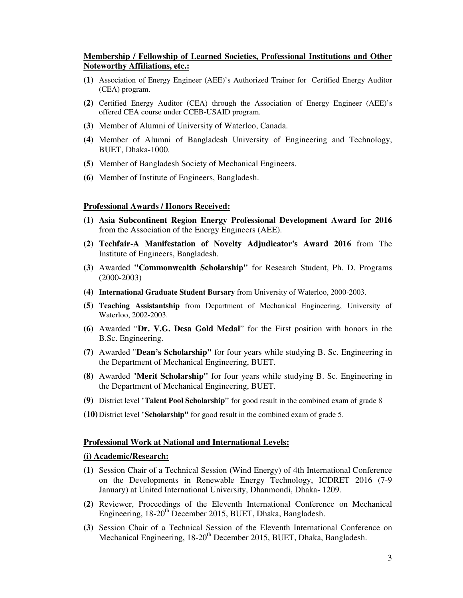#### **Membership / Fellowship of Learned Societies, Professional Institutions and Other Noteworthy Affiliations, etc.:**

- **(1)** Association of Energy Engineer (AEE)'s Authorized Trainer for Certified Energy Auditor (CEA) program.
- **(2)** Certified Energy Auditor (CEA) through the Association of Energy Engineer (AEE)'s offered CEA course under CCEB-USAID program.
- **(3)** Member of Alumni of University of Waterloo, Canada.
- **(4)** Member of Alumni of Bangladesh University of Engineering and Technology, BUET, Dhaka-1000.
- **(5)** Member of Bangladesh Society of Mechanical Engineers.
- **(6)** Member of Institute of Engineers, Bangladesh.

#### **Professional Awards / Honors Received:**

- **(1) Asia Subcontinent Region Energy Professional Development Award for 2016** from the Association of the Energy Engineers (AEE).
- **(2) Techfair-A Manifestation of Novelty Adjudicator's Award 2016** from The Institute of Engineers, Bangladesh.
- **(3)** Awarded **"Commonwealth Scholarship"** for Research Student, Ph. D. Programs (2000-2003)
- **(4) International Graduate Student Bursary** from University of Waterloo, 2000-2003.
- **(5) Teaching Assistantship** from Department of Mechanical Engineering, University of Waterloo, 2002-2003.
- **(6)** Awarded "**Dr. V.G. Desa Gold Medal**" for the First position with honors in the B.Sc. Engineering.
- **(7)** Awarded "**Dean's Scholarship"** for four years while studying B. Sc. Engineering in the Department of Mechanical Engineering, BUET.
- **(8)** Awarded "**Merit Scholarship"** for four years while studying B. Sc. Engineering in the Department of Mechanical Engineering, BUET.
- **(9)** District level "**Talent Pool Scholarship"** for good result in the combined exam of grade 8
- **(10)** District level "**Scholarship"** for good result in the combined exam of grade 5.

#### **Professional Work at National and International Levels:**

#### **(i) Academic/Research:**

- **(1)** Session Chair of a Technical Session (Wind Energy) of 4th International Conference on the Developments in Renewable Energy Technology, ICDRET 2016 (7-9 January) at United International University, Dhanmondi, Dhaka- 1209.
- **(2)** Reviewer, Proceedings of the Eleventh International Conference on Mechanical Engineering, 18-20<sup>th</sup> December 2015, BUET, Dhaka, Bangladesh.
- **(3)** Session Chair of a Technical Session of the Eleventh International Conference on Mechanical Engineering, 18-20<sup>th</sup> December 2015, BUET, Dhaka, Bangladesh.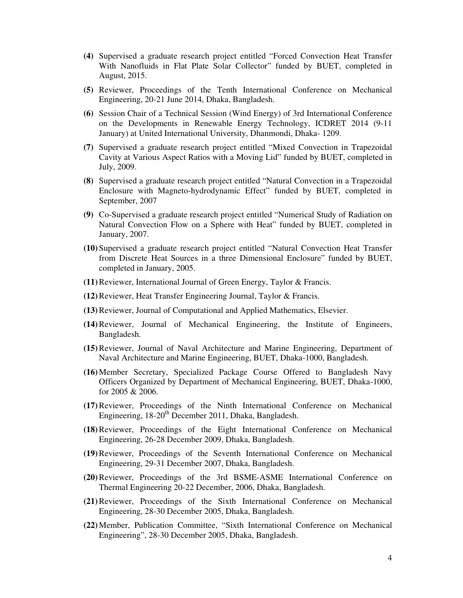- **(4)** Supervised a graduate research project entitled "Forced Convection Heat Transfer With Nanofluids in Flat Plate Solar Collector" funded by BUET, completed in August, 2015.
- **(5)** Reviewer, Proceedings of the Tenth International Conference on Mechanical Engineering, 20-21 June 2014, Dhaka, Bangladesh.
- **(6)** Session Chair of a Technical Session (Wind Energy) of 3rd International Conference on the Developments in Renewable Energy Technology, ICDRET 2014 (9-11 January) at United International University, Dhanmondi, Dhaka- 1209.
- **(7)** Supervised a graduate research project entitled "Mixed Convection in Trapezoidal Cavity at Various Aspect Ratios with a Moving Lid" funded by BUET, completed in July, 2009.
- **(8)** Supervised a graduate research project entitled "Natural Convection in a Trapezoidal Enclosure with Magneto-hydrodynamic Effect" funded by BUET, completed in September, 2007
- **(9)** Co-Supervised a graduate research project entitled "Numerical Study of Radiation on Natural Convection Flow on a Sphere with Heat" funded by BUET, completed in January, 2007.
- **(10)**Supervised a graduate research project entitled "Natural Convection Heat Transfer from Discrete Heat Sources in a three Dimensional Enclosure" funded by BUET, completed in January, 2005.
- **(11)**Reviewer, International Journal of Green Energy, Taylor & Francis.
- **(12)**Reviewer, Heat Transfer Engineering Journal, Taylor & Francis.
- **(13)**Reviewer, Journal of Computational and Applied Mathematics, Elsevier.
- **(14)**Reviewer, Journal of Mechanical Engineering, the Institute of Engineers, Bangladesh.
- **(15)**Reviewer, Journal of Naval Architecture and Marine Engineering, Department of Naval Architecture and Marine Engineering, BUET, Dhaka-1000, Bangladesh.
- **(16)**Member Secretary, Specialized Package Course Offered to Bangladesh Navy Officers Organized by Department of Mechanical Engineering, BUET, Dhaka-1000, for 2005 & 2006.
- **(17)**Reviewer, Proceedings of the Ninth International Conference on Mechanical Engineering,  $18-20<sup>th</sup>$  December 2011, Dhaka, Bangladesh.
- **(18)**Reviewer, Proceedings of the Eight International Conference on Mechanical Engineering, 26-28 December 2009, Dhaka, Bangladesh.
- **(19)**Reviewer, Proceedings of the Seventh International Conference on Mechanical Engineering, 29-31 December 2007, Dhaka, Bangladesh.
- **(20)**Reviewer, Proceedings of the 3rd BSME-ASME International Conference on Thermal Engineering 20-22 December, 2006, Dhaka, Bangladesh.
- **(21)**Reviewer, Proceedings of the Sixth International Conference on Mechanical Engineering, 28-30 December 2005, Dhaka, Bangladesh.
- **(22)**Member, Publication Committee, "Sixth International Conference on Mechanical Engineering", 28-30 December 2005, Dhaka, Bangladesh.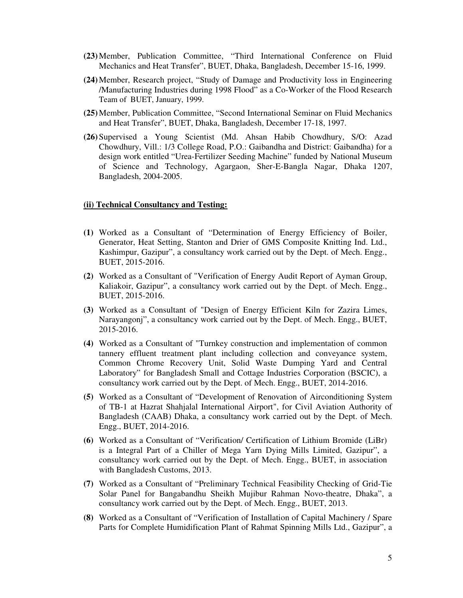- **(23)**Member, Publication Committee, "Third International Conference on Fluid Mechanics and Heat Transfer", BUET, Dhaka, Bangladesh, December 15-16, 1999.
- **(24)**Member, Research project, "Study of Damage and Productivity loss in Engineering /Manufacturing Industries during 1998 Flood" as a Co-Worker of the Flood Research Team of BUET, January, 1999.
- **(25)**Member, Publication Committee, "Second International Seminar on Fluid Mechanics and Heat Transfer", BUET, Dhaka, Bangladesh, December 17-18, 1997.
- **(26)**Supervised a Young Scientist (Md. Ahsan Habib Chowdhury, S/O: Azad Chowdhury, Vill.: 1/3 College Road, P.O.: Gaibandha and District: Gaibandha) for a design work entitled "Urea-Fertilizer Seeding Machine" funded by National Museum of Science and Technology, Agargaon, Sher-E-Bangla Nagar, Dhaka 1207, Bangladesh, 2004-2005.

#### **(ii) Technical Consultancy and Testing:**

- **(1)** Worked as a Consultant of "Determination of Energy Efficiency of Boiler, Generator, Heat Setting, Stanton and Drier of GMS Composite Knitting Ind. Ltd., Kashimpur, Gazipur", a consultancy work carried out by the Dept. of Mech. Engg., BUET, 2015-2016.
- **(2)** Worked as a Consultant of "Verification of Energy Audit Report of Ayman Group, Kaliakoir, Gazipur", a consultancy work carried out by the Dept. of Mech. Engg., BUET, 2015-2016.
- **(3)** Worked as a Consultant of "Design of Energy Efficient Kiln for Zazira Limes, Narayangonj", a consultancy work carried out by the Dept. of Mech. Engg., BUET, 2015-2016.
- **(4)** Worked as a Consultant of "Turnkey construction and implementation of common tannery effluent treatment plant including collection and conveyance system, Common Chrome Recovery Unit, Solid Waste Dumping Yard and Central Laboratory" for Bangladesh Small and Cottage Industries Corporation (BSCIC), a consultancy work carried out by the Dept. of Mech. Engg., BUET, 2014-2016.
- **(5)** Worked as a Consultant of "Development of Renovation of Airconditioning System of TB-1 at Hazrat Shahjalal International Airport", for Civil Aviation Authority of Bangladesh (CAAB) Dhaka, a consultancy work carried out by the Dept. of Mech. Engg., BUET, 2014-2016.
- **(6)** Worked as a Consultant of "Verification/ Certification of Lithium Bromide (LiBr) is a Integral Part of a Chiller of Mega Yarn Dying Mills Limited, Gazipur", a consultancy work carried out by the Dept. of Mech. Engg., BUET, in association with Bangladesh Customs, 2013.
- **(7)** Worked as a Consultant of "Preliminary Technical Feasibility Checking of Grid-Tie Solar Panel for Bangabandhu Sheikh Mujibur Rahman Novo-theatre, Dhaka", a consultancy work carried out by the Dept. of Mech. Engg., BUET, 2013.
- **(8)** Worked as a Consultant of "Verification of Installation of Capital Machinery / Spare Parts for Complete Humidification Plant of Rahmat Spinning Mills Ltd., Gazipur", a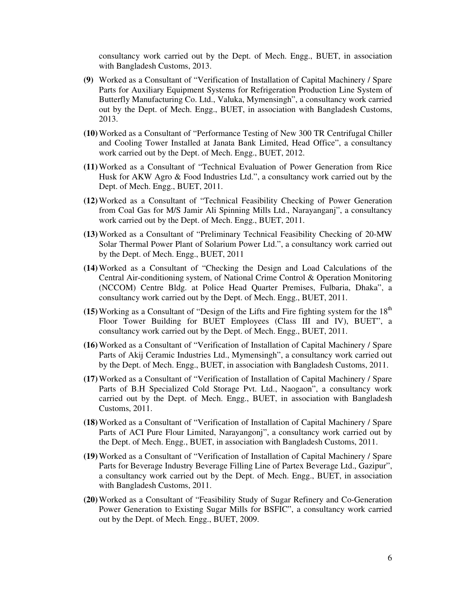consultancy work carried out by the Dept. of Mech. Engg., BUET, in association with Bangladesh Customs, 2013.

- **(9)** Worked as a Consultant of "Verification of Installation of Capital Machinery / Spare Parts for Auxiliary Equipment Systems for Refrigeration Production Line System of Butterfly Manufacturing Co. Ltd., Valuka, Mymensingh", a consultancy work carried out by the Dept. of Mech. Engg., BUET, in association with Bangladesh Customs, 2013.
- **(10)**Worked as a Consultant of "Performance Testing of New 300 TR Centrifugal Chiller and Cooling Tower Installed at Janata Bank Limited, Head Office", a consultancy work carried out by the Dept. of Mech. Engg., BUET, 2012.
- **(11)**Worked as a Consultant of "Technical Evaluation of Power Generation from Rice Husk for AKW Agro & Food Industries Ltd.", a consultancy work carried out by the Dept. of Mech. Engg., BUET, 2011.
- **(12)**Worked as a Consultant of "Technical Feasibility Checking of Power Generation from Coal Gas for M/S Jamir Ali Spinning Mills Ltd., Narayanganj", a consultancy work carried out by the Dept. of Mech. Engg., BUET, 2011.
- **(13)**Worked as a Consultant of "Preliminary Technical Feasibility Checking of 20-MW Solar Thermal Power Plant of Solarium Power Ltd.", a consultancy work carried out by the Dept. of Mech. Engg., BUET, 2011
- **(14)**Worked as a Consultant of "Checking the Design and Load Calculations of the Central Air-conditioning system, of National Crime Control & Operation Monitoring (NCCOM) Centre Bldg. at Police Head Quarter Premises, Fulbaria, Dhaka", a consultancy work carried out by the Dept. of Mech. Engg., BUET, 2011.
- $(15)$  Working as a Consultant of "Design of the Lifts and Fire fighting system for the  $18<sup>th</sup>$ Floor Tower Building for BUET Employees (Class III and IV), BUET", a consultancy work carried out by the Dept. of Mech. Engg., BUET, 2011.
- **(16)**Worked as a Consultant of "Verification of Installation of Capital Machinery / Spare Parts of Akij Ceramic Industries Ltd., Mymensingh", a consultancy work carried out by the Dept. of Mech. Engg., BUET, in association with Bangladesh Customs, 2011.
- **(17)**Worked as a Consultant of "Verification of Installation of Capital Machinery / Spare Parts of B.H Specialized Cold Storage Pvt. Ltd., Naogaon", a consultancy work carried out by the Dept. of Mech. Engg., BUET, in association with Bangladesh Customs, 2011.
- **(18)**Worked as a Consultant of "Verification of Installation of Capital Machinery / Spare Parts of ACI Pure Flour Limited, Narayangonj", a consultancy work carried out by the Dept. of Mech. Engg., BUET, in association with Bangladesh Customs, 2011.
- **(19)**Worked as a Consultant of "Verification of Installation of Capital Machinery / Spare Parts for Beverage Industry Beverage Filling Line of Partex Beverage Ltd., Gazipur", a consultancy work carried out by the Dept. of Mech. Engg., BUET, in association with Bangladesh Customs, 2011.
- **(20)**Worked as a Consultant of "Feasibility Study of Sugar Refinery and Co-Generation Power Generation to Existing Sugar Mills for BSFIC", a consultancy work carried out by the Dept. of Mech. Engg., BUET, 2009.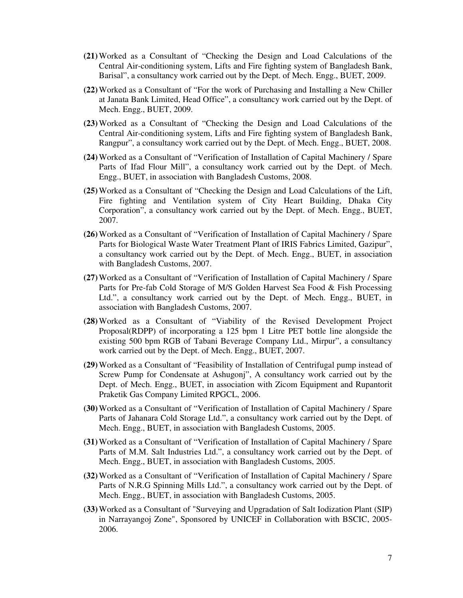- **(21)**Worked as a Consultant of "Checking the Design and Load Calculations of the Central Air-conditioning system, Lifts and Fire fighting system of Bangladesh Bank, Barisal", a consultancy work carried out by the Dept. of Mech. Engg., BUET, 2009.
- **(22)**Worked as a Consultant of "For the work of Purchasing and Installing a New Chiller at Janata Bank Limited, Head Office", a consultancy work carried out by the Dept. of Mech. Engg., BUET, 2009.
- **(23)**Worked as a Consultant of "Checking the Design and Load Calculations of the Central Air-conditioning system, Lifts and Fire fighting system of Bangladesh Bank, Rangpur", a consultancy work carried out by the Dept. of Mech. Engg., BUET, 2008.
- **(24)**Worked as a Consultant of "Verification of Installation of Capital Machinery / Spare Parts of Ifad Flour Mill", a consultancy work carried out by the Dept. of Mech. Engg., BUET, in association with Bangladesh Customs, 2008.
- **(25)**Worked as a Consultant of "Checking the Design and Load Calculations of the Lift, Fire fighting and Ventilation system of City Heart Building, Dhaka City Corporation", a consultancy work carried out by the Dept. of Mech. Engg., BUET, 2007.
- **(26)**Worked as a Consultant of "Verification of Installation of Capital Machinery / Spare Parts for Biological Waste Water Treatment Plant of IRIS Fabrics Limited, Gazipur", a consultancy work carried out by the Dept. of Mech. Engg., BUET, in association with Bangladesh Customs, 2007.
- **(27)**Worked as a Consultant of "Verification of Installation of Capital Machinery / Spare Parts for Pre-fab Cold Storage of M/S Golden Harvest Sea Food & Fish Processing Ltd.", a consultancy work carried out by the Dept. of Mech. Engg., BUET, in association with Bangladesh Customs, 2007.
- **(28)**Worked as a Consultant of "Viability of the Revised Development Project Proposal(RDPP) of incorporating a 125 bpm 1 Litre PET bottle line alongside the existing 500 bpm RGB of Tabani Beverage Company Ltd., Mirpur", a consultancy work carried out by the Dept. of Mech. Engg., BUET, 2007.
- **(29)**Worked as a Consultant of "Feasibility of Installation of Centrifugal pump instead of Screw Pump for Condensate at Ashugonj", A consultancy work carried out by the Dept. of Mech. Engg., BUET, in association with Zicom Equipment and Rupantorit Praketik Gas Company Limited RPGCL, 2006.
- **(30)**Worked as a Consultant of "Verification of Installation of Capital Machinery / Spare Parts of Jahanara Cold Storage Ltd.", a consultancy work carried out by the Dept. of Mech. Engg., BUET, in association with Bangladesh Customs, 2005.
- **(31)**Worked as a Consultant of "Verification of Installation of Capital Machinery / Spare Parts of M.M. Salt Industries Ltd.", a consultancy work carried out by the Dept. of Mech. Engg., BUET, in association with Bangladesh Customs, 2005.
- **(32)**Worked as a Consultant of "Verification of Installation of Capital Machinery / Spare Parts of N.R.G Spinning Mills Ltd.", a consultancy work carried out by the Dept. of Mech. Engg., BUET, in association with Bangladesh Customs, 2005.
- **(33)**Worked as a Consultant of "Surveying and Upgradation of Salt Iodization Plant (SIP) in Narrayangoj Zone", Sponsored by UNICEF in Collaboration with BSCIC, 2005- 2006.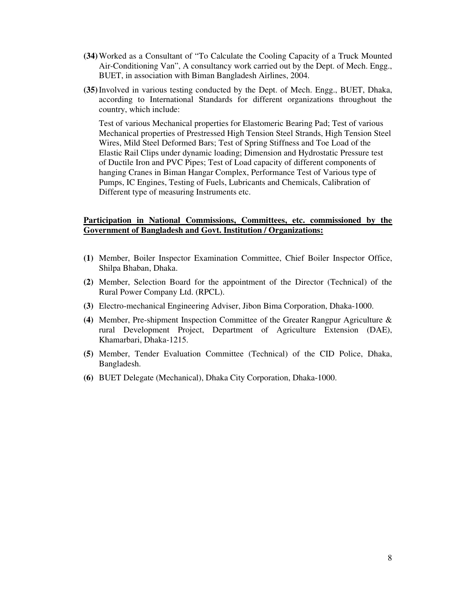- **(34)**Worked as a Consultant of "To Calculate the Cooling Capacity of a Truck Mounted Air-Conditioning Van", A consultancy work carried out by the Dept. of Mech. Engg., BUET, in association with Biman Bangladesh Airlines, 2004.
- **(35)**Involved in various testing conducted by the Dept. of Mech. Engg., BUET, Dhaka, according to International Standards for different organizations throughout the country, which include:

Test of various Mechanical properties for Elastomeric Bearing Pad; Test of various Mechanical properties of Prestressed High Tension Steel Strands, High Tension Steel Wires, Mild Steel Deformed Bars; Test of Spring Stiffness and Toe Load of the Elastic Rail Clips under dynamic loading; Dimension and Hydrostatic Pressure test of Ductile Iron and PVC Pipes; Test of Load capacity of different components of hanging Cranes in Biman Hangar Complex, Performance Test of Various type of Pumps, IC Engines, Testing of Fuels, Lubricants and Chemicals, Calibration of Different type of measuring Instruments etc.

### **Participation in National Commissions, Committees, etc. commissioned by the Government of Bangladesh and Govt. Institution / Organizations:**

- **(1)** Member, Boiler Inspector Examination Committee, Chief Boiler Inspector Office, Shilpa Bhaban, Dhaka.
- **(2)** Member, Selection Board for the appointment of the Director (Technical) of the Rural Power Company Ltd. (RPCL).
- **(3)** Electro-mechanical Engineering Adviser, Jibon Bima Corporation, Dhaka-1000.
- **(4)** Member, Pre-shipment Inspection Committee of the Greater Rangpur Agriculture & rural Development Project, Department of Agriculture Extension (DAE), Khamarbari, Dhaka-1215.
- **(5)** Member, Tender Evaluation Committee (Technical) of the CID Police, Dhaka, Bangladesh.
- **(6)** BUET Delegate (Mechanical), Dhaka City Corporation, Dhaka-1000.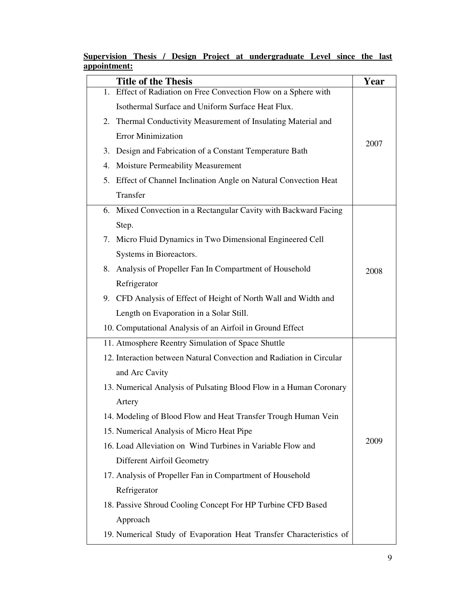|              |  |  | Supervision Thesis / Design Project at undergraduate Level since the last |  |  |
|--------------|--|--|---------------------------------------------------------------------------|--|--|
| appointment: |  |  |                                                                           |  |  |

|    | <b>Title of the Thesis</b>                                           | Year |
|----|----------------------------------------------------------------------|------|
|    | 1. Effect of Radiation on Free Convection Flow on a Sphere with      |      |
|    | Isothermal Surface and Uniform Surface Heat Flux.                    |      |
|    | 2. Thermal Conductivity Measurement of Insulating Material and       |      |
|    | <b>Error Minimization</b>                                            | 2007 |
|    | 3. Design and Fabrication of a Constant Temperature Bath             |      |
|    | 4. Moisture Permeability Measurement                                 |      |
|    | 5. Effect of Channel Inclination Angle on Natural Convection Heat    |      |
|    | Transfer                                                             |      |
|    | 6. Mixed Convection in a Rectangular Cavity with Backward Facing     |      |
|    | Step.                                                                |      |
| 7. | Micro Fluid Dynamics in Two Dimensional Engineered Cell              |      |
|    | Systems in Bioreactors.                                              |      |
| 8. | Analysis of Propeller Fan In Compartment of Household                | 2008 |
|    | Refrigerator                                                         |      |
|    | 9. CFD Analysis of Effect of Height of North Wall and Width and      |      |
|    | Length on Evaporation in a Solar Still.                              |      |
|    | 10. Computational Analysis of an Airfoil in Ground Effect            |      |
|    | 11. Atmosphere Reentry Simulation of Space Shuttle                   |      |
|    | 12. Interaction between Natural Convection and Radiation in Circular |      |
|    | and Arc Cavity                                                       |      |
|    | 13. Numerical Analysis of Pulsating Blood Flow in a Human Coronary   |      |
|    | Artery                                                               |      |
|    | 14. Modeling of Blood Flow and Heat Transfer Trough Human Vein       |      |
|    | 15. Numerical Analysis of Micro Heat Pipe                            |      |
|    | 16. Load Alleviation on Wind Turbines in Variable Flow and           | 2009 |
|    | Different Airfoil Geometry                                           |      |
|    | 17. Analysis of Propeller Fan in Compartment of Household            |      |
|    | Refrigerator                                                         |      |
|    | 18. Passive Shroud Cooling Concept For HP Turbine CFD Based          |      |
|    | Approach                                                             |      |
|    | 19. Numerical Study of Evaporation Heat Transfer Characteristics of  |      |
|    |                                                                      |      |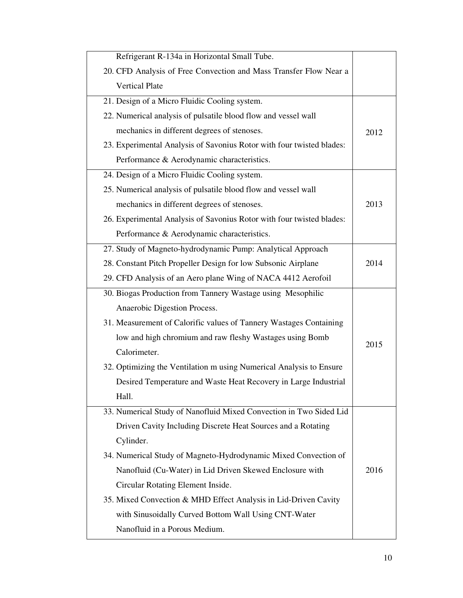| Refrigerant R-134a in Horizontal Small Tube.                          |      |
|-----------------------------------------------------------------------|------|
| 20. CFD Analysis of Free Convection and Mass Transfer Flow Near a     |      |
| <b>Vertical Plate</b>                                                 |      |
| 21. Design of a Micro Fluidic Cooling system.                         |      |
| 22. Numerical analysis of pulsatile blood flow and vessel wall        |      |
| mechanics in different degrees of stenoses.                           | 2012 |
| 23. Experimental Analysis of Savonius Rotor with four twisted blades: |      |
| Performance & Aerodynamic characteristics.                            |      |
| 24. Design of a Micro Fluidic Cooling system.                         |      |
| 25. Numerical analysis of pulsatile blood flow and vessel wall        |      |
| mechanics in different degrees of stenoses.                           | 2013 |
| 26. Experimental Analysis of Savonius Rotor with four twisted blades: |      |
| Performance & Aerodynamic characteristics.                            |      |
| 27. Study of Magneto-hydrodynamic Pump: Analytical Approach           |      |
| 28. Constant Pitch Propeller Design for low Subsonic Airplane         | 2014 |
| 29. CFD Analysis of an Aero plane Wing of NACA 4412 Aerofoil          |      |
| 30. Biogas Production from Tannery Wastage using Mesophilic           |      |
| Anaerobic Digestion Process.                                          |      |
| 31. Measurement of Calorific values of Tannery Wastages Containing    |      |
| low and high chromium and raw fleshy Wastages using Bomb              | 2015 |
| Calorimeter.                                                          |      |
| 32. Optimizing the Ventilation m using Numerical Analysis to Ensure   |      |
| Desired Temperature and Waste Heat Recovery in Large Industrial       |      |
| Hall.                                                                 |      |
| 33. Numerical Study of Nanofluid Mixed Convection in Two Sided Lid    |      |
| Driven Cavity Including Discrete Heat Sources and a Rotating          |      |
| Cylinder.                                                             |      |
| 34. Numerical Study of Magneto-Hydrodynamic Mixed Convection of       |      |
| Nanofluid (Cu-Water) in Lid Driven Skewed Enclosure with              | 2016 |
| Circular Rotating Element Inside.                                     |      |
| 35. Mixed Convection & MHD Effect Analysis in Lid-Driven Cavity       |      |
| with Sinusoidally Curved Bottom Wall Using CNT-Water                  |      |
| Nanofluid in a Porous Medium.                                         |      |
|                                                                       |      |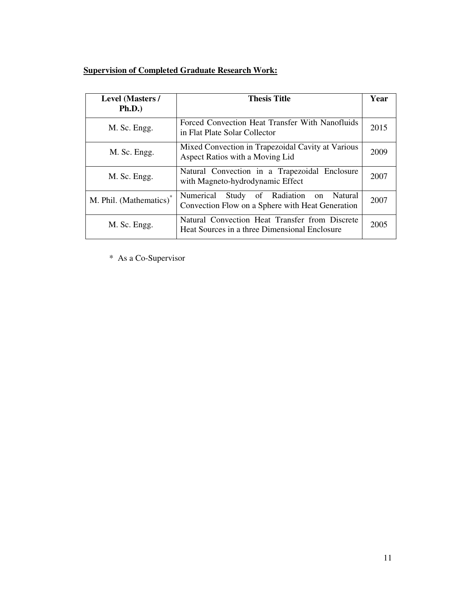# **Supervision of Completed Graduate Research Work:**

| <b>Level (Masters /</b> | <b>Thesis Title</b>                                                                             |      |
|-------------------------|-------------------------------------------------------------------------------------------------|------|
| Ph.D.)                  |                                                                                                 |      |
| M. Sc. Engg.            | Forced Convection Heat Transfer With Nanofluids<br>in Flat Plate Solar Collector                | 2015 |
| M. Sc. Engg.            | Mixed Convection in Trapezoidal Cavity at Various<br>Aspect Ratios with a Moving Lid            | 2009 |
| M. Sc. Engg.            | Natural Convection in a Trapezoidal Enclosure<br>with Magneto-hydrodynamic Effect               | 2007 |
| M. Phil. (Mathematics)* | Numerical Study of Radiation on Natural<br>Convection Flow on a Sphere with Heat Generation     | 2007 |
| M. Sc. Engg.            | Natural Convection Heat Transfer from Discrete<br>Heat Sources in a three Dimensional Enclosure | 2005 |

\* As a Co-Supervisor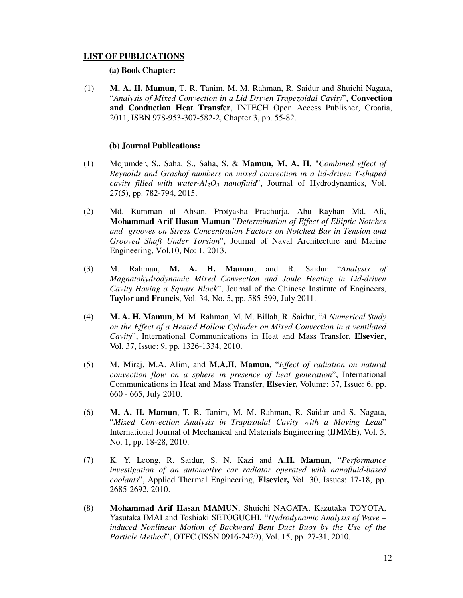#### **LIST OF PUBLICATIONS**

## **(a) Book Chapter:**

(1) **M. A. H. Mamun**, T. R. Tanim, M. M. Rahman, R. Saidur and Shuichi Nagata, "*Analysis of Mixed Convection in a Lid Driven Trapezoidal Cavity*", **Convection and Conduction Heat Transfer**, INTECH Open Access Publisher, Croatia, 2011, ISBN 978-953-307-582-2, Chapter 3, pp. 55-82.

#### **(b) Journal Publications:**

- (1) Mojumder, S., Saha, S., Saha, S. & **Mamun, M. A. H.** "*Combined effect of Reynolds and Grashof numbers on mixed convection in a lid-driven T-shaped cavity filled with water-Al2O3 nanofluid*", Journal of Hydrodynamics, Vol. 27(5), pp. 782-794, 2015.
- (2) Md. Rumman ul Ahsan, Protyasha Prachurja, Abu Rayhan Md. Ali, **Mohammad Arif Hasan Mamun** "*Determination of Effect of Elliptic Notches and grooves on Stress Concentration Factors on Notched Bar in Tension and Grooved Shaft Under Torsion*", Journal of Naval Architecture and Marine Engineering, Vol.10, No: 1, 2013.
- (3) M. Rahman, **M. A. H. Mamun**, and R. Saidur "*Analysis of Magnatohydrodynamic Mixed Convection and Joule Heating in Lid-driven Cavity Having a Square Block*", Journal of the Chinese Institute of Engineers, **Taylor and Francis**, Vol. 34, No. 5, pp. 585-599, July 2011.
- (4) **M. A. H. Mamun**, M. M. Rahman, M. M. Billah, R. Saidur, "*A Numerical Study on the Effect of a Heated Hollow Cylinder on Mixed Convection in a ventilated Cavity*", International Communications in Heat and Mass Transfer, **Elsevier**, Vol. 37, Issue: 9, pp. 1326-1334, 2010.
- (5) M. Miraj, M.A. Alim, and **M.A.H. Mamun**, "*Effect of radiation on natural convection flow on a sphere in presence of heat generation*", International Communications in Heat and Mass Transfer, **Elsevier,** Volume: 37, Issue: 6, pp. 660 - 665, July 2010.
- (6) **M. A. H. Mamun**, T. R. Tanim, M. M. Rahman, R. Saidur and S. Nagata, "*Mixed Convection Analysis in Trapizoidal Cavity with a Moving Lead*" International Journal of Mechanical and Materials Engineering (IJMME), Vol. 5, No. 1, pp. 18-28, 2010.
- (7) K. Y. Leong, R. Saidur, S. N. Kazi and **A.H. Mamun**, "*Performance investigation of an automotive car radiator operated with nanofluid-based coolants*", Applied Thermal Engineering, **Elsevier,** Vol. 30, Issues: 17-18, pp. 2685-2692, 2010.
- (8) **Mohammad Arif Hasan MAMUN**, Shuichi NAGATA, Kazutaka TOYOTA, Yasutaka IMAI and Toshiaki SETOGUCHI, "*Hydrodynamic Analysis of Wave – induced Nonlinear Motion of Backward Bent Duct Buoy by the Use of the Particle Method*", OTEC (ISSN 0916-2429), Vol. 15, pp. 27-31, 2010.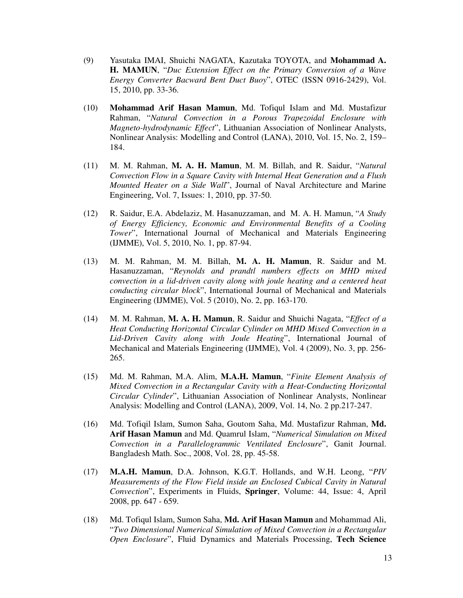- (9) Yasutaka IMAI, Shuichi NAGATA, Kazutaka TOYOTA, and **Mohammad A. H. MAMUN**, "*Duc Extension Effect on the Primary Conversion of a Wave Energy Converter Bacward Bent Duct Buoy*", OTEC (ISSN 0916-2429), Vol. 15, 2010, pp. 33-36.
- (10) **Mohammad Arif Hasan Mamun**, Md. Tofiqul Islam and Md. Mustafizur Rahman, "*Natural Convection in a Porous Trapezoidal Enclosure with Magneto-hydrodynamic Effect*", Lithuanian Association of Nonlinear Analysts, Nonlinear Analysis: Modelling and Control (LANA), 2010, Vol. 15, No. 2, 159– 184.
- (11) M. M. Rahman, **M. A. H. Mamun**, M. M. Billah, and R. Saidur, "*Natural Convection Flow in a Square Cavity with Internal Heat Generation and a Flush Mounted Heater on a Side Wall*", Journal of Naval Architecture and Marine Engineering, Vol. 7, Issues: 1, 2010, pp. 37-50.
- (12) R. Saidur, E.A. Abdelaziz, M. Hasanuzzaman, and M. A. H. Mamun, "*A Study of Energy Efficiency, Economic and Environmental Benefits of a Cooling Tower*", International Journal of Mechanical and Materials Engineering (IJMME), Vol. 5, 2010, No. 1, pp. 87-94.
- (13) M. M. Rahman, M. M. Billah, **M. A. H. Mamun**, R. Saidur and M. Hasanuzzaman, "*Reynolds and prandtl numbers effects on MHD mixed convection in a lid-driven cavity along with joule heating and a centered heat conducting circular block*", International Journal of Mechanical and Materials Engineering (IJMME), Vol. 5 (2010), No. 2, pp. 163-170.
- (14) M. M. Rahman, **M. A. H. Mamun**, R. Saidur and Shuichi Nagata, "*Effect of a Heat Conducting Horizontal Circular Cylinder on MHD Mixed Convection in a Lid-Driven Cavity along with Joule Heating*", International Journal of Mechanical and Materials Engineering (IJMME), Vol. 4 (2009), No. 3, pp. 256- 265.
- (15) Md. M. Rahman, M.A. Alim, **M.A.H. Mamun**, "*Finite Element Analysis of Mixed Convection in a Rectangular Cavity with a Heat-Conducting Horizontal Circular Cylinder*", Lithuanian Association of Nonlinear Analysts, Nonlinear Analysis: Modelling and Control (LANA), 2009, Vol. 14, No. 2 pp.217-247.
- (16) Md. Tofiqil Islam, Sumon Saha, Goutom Saha, Md. Mustafizur Rahman, **Md. Arif Hasan Mamun** and Md. Quamrul Islam, "*Numerical Simulation on Mixed Convection in a Parallelogrammic Ventilated Enclosure*", Ganit Journal. Bangladesh Math. Soc., 2008, Vol. 28, pp. 45-58.
- (17) **M.A.H. Mamun**, D.A. Johnson, K.G.T. Hollands, and W.H. Leong, "*PIV Measurements of the Flow Field inside an Enclosed Cubical Cavity in Natural Convection*", Experiments in Fluids, **Springer**, Volume: 44, Issue: 4, April 2008, pp. 647 - 659.
- (18) Md. Tofiqul Islam, Sumon Saha, **Md. Arif Hasan Mamun** and Mohammad Ali, "*Two Dimensional Numerical Simulation of Mixed Convection in a Rectangular Open Enclosure*", Fluid Dynamics and Materials Processing, **Tech Science**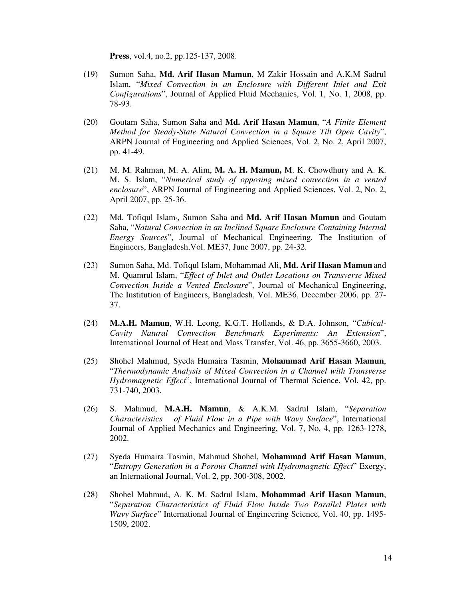**Press**, vol.4, no.2, pp.125-137, 2008.

- (19) Sumon Saha, **Md. Arif Hasan Mamun**, M Zakir Hossain and A.K.M Sadrul Islam, "*Mixed Convection in an Enclosure with Different Inlet and Exit Configurations*", Journal of Applied Fluid Mechanics, Vol. 1, No. 1, 2008, pp. 78-93.
- (20) Goutam Saha, Sumon Saha and **Md. Arif Hasan Mamun**, "*A Finite Element Method for Steady-State Natural Convection in a Square Tilt Open Cavity*", ARPN Journal of Engineering and Applied Sciences, Vol. 2, No. 2, April 2007, pp. 41-49.
- (21) M. M. Rahman, M. A. Alim, **M. A. H. Mamun,** M. K. Chowdhury and A. K. M. S. Islam, "*Numerical study of opposing mixed convection in a vented enclosure*", ARPN Journal of Engineering and Applied Sciences, Vol. 2, No. 2, April 2007, pp. 25-36.
- (22) Md. Tofiqul Islam\*, Sumon Saha and **Md. Arif Hasan Mamun** and Goutam Saha, "*Natural Convection in an Inclined Square Enclosure Containing Internal Energy Sources*", Journal of Mechanical Engineering, The Institution of Engineers, Bangladesh,Vol. ME37, June 2007, pp. 24-32.
- (23) Sumon Saha, Md. Tofiqul Islam, Mohammad Ali, **Md. Arif Hasan Mamun** and M. Quamrul Islam, "*Effect of Inlet and Outlet Locations on Transverse Mixed Convection Inside a Vented Enclosure*", Journal of Mechanical Engineering, The Institution of Engineers, Bangladesh, Vol. ME36, December 2006, pp. 27- 37.
- (24) **M.A.H. Mamun**, W.H. Leong, K.G.T. Hollands, & D.A. Johnson, "*Cubical-Cavity Natural Convection Benchmark Experiments: An Extension*", International Journal of Heat and Mass Transfer, Vol. 46, pp. 3655-3660, 2003.
- (25) Shohel Mahmud, Syeda Humaira Tasmin, **Mohammad Arif Hasan Mamun**, "*Thermodynamic Analysis of Mixed Convection in a Channel with Transverse Hydromagnetic Effect*", International Journal of Thermal Science, Vol. 42, pp. 731-740, 2003.
- (26) S. Mahmud, **M.A.H. Mamun**, & A.K.M. Sadrul Islam, "*Separation Characteristics of Fluid Flow in a Pipe with Wavy Surface*", International Journal of Applied Mechanics and Engineering, Vol. 7, No. 4, pp. 1263-1278, 2002.
- (27) Syeda Humaira Tasmin, Mahmud Shohel, **Mohammad Arif Hasan Mamun**, "*Entropy Generation in a Porous Channel with Hydromagnetic Effect*" Exergy, an International Journal, Vol. 2, pp. 300-308, 2002.
- (28) Shohel Mahmud, A. K. M. Sadrul Islam, **Mohammad Arif Hasan Mamun**, "*Separation Characteristics of Fluid Flow Inside Two Parallel Plates with Wavy Surface*" International Journal of Engineering Science, Vol. 40, pp. 1495- 1509, 2002.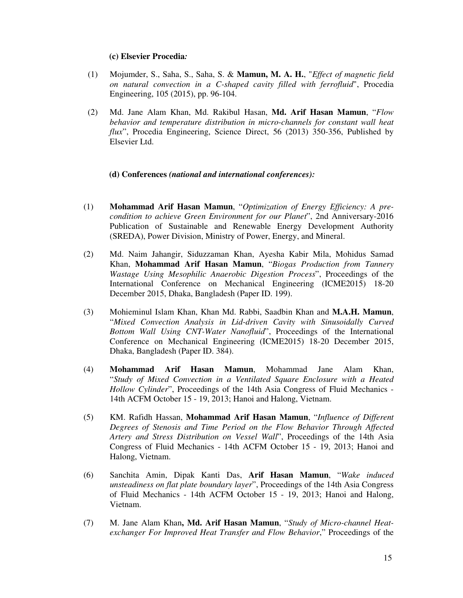#### **(c) Elsevier Procedia***:*

- (1) Mojumder, S., Saha, S., Saha, S. & **Mamun, M. A. H.**, "*Effect of magnetic field on natural convection in a C-shaped cavity filled with ferrofluid*", Procedia Engineering, 105 (2015), pp. 96-104.
- (2) Md. Jane Alam Khan, Md. Rakibul Hasan, **Md. Arif Hasan Mamun**, "*Flow behavior and temperature distribution in micro-channels for constant wall heat flux*", Procedia Engineering, Science Direct, 56 (2013) 350-356, Published by Elsevier Ltd.

#### **(d) Conferences** *(national and international conferences):*

- (1) **Mohammad Arif Hasan Mamun**, "*Optimization of Energy Efficiency: A precondition to achieve Green Environment for our Planet*", 2nd Anniversary-2016 Publication of Sustainable and Renewable Energy Development Authority (SREDA), Power Division, Ministry of Power, Energy, and Mineral.
- (2) Md. Naim Jahangir, Siduzzaman Khan, Ayesha Kabir Mila, Mohidus Samad Khan, **Mohammad Arif Hasan Mamun**, "*Biogas Production from Tannery Wastage Using Mesophilic Anaerobic Digestion Process*", Proceedings of the International Conference on Mechanical Engineering (ICME2015) 18-20 December 2015, Dhaka, Bangladesh (Paper ID. 199).
- (3) Mohieminul Islam Khan, Khan Md. Rabbi, Saadbin Khan and **M.A.H. Mamun**, "*Mixed Convection Analysis in Lid-driven Cavity with Sinusoidally Curved Bottom Wall Using CNT-Water Nanofluid*", Proceedings of the International Conference on Mechanical Engineering (ICME2015) 18-20 December 2015, Dhaka, Bangladesh (Paper ID. 384).
- (4) **Mohammad Arif Hasan Mamun**, Mohammad Jane Alam Khan, "*Study of Mixed Convection in a Ventilated Square Enclosure with a Heated Hollow Cylinder*", Proceedings of the 14th Asia Congress of Fluid Mechanics - 14th ACFM October 15 - 19, 2013; Hanoi and Halong, Vietnam.
- (5) KM. Rafidh Hassan, **Mohammad Arif Hasan Mamun**, "*Influence of Different Degrees of Stenosis and Time Period on the Flow Behavior Through Affected Artery and Stress Distribution on Vessel Wall*", Proceedings of the 14th Asia Congress of Fluid Mechanics - 14th ACFM October 15 - 19, 2013; Hanoi and Halong, Vietnam.
- (6) Sanchita Amin, Dipak Kanti Das, **Arif Hasan Mamun**, "*Wake induced unsteadiness on flat plate boundary layer*", Proceedings of the 14th Asia Congress of Fluid Mechanics - 14th ACFM October 15 - 19, 2013; Hanoi and Halong, Vietnam.
- (7) M. Jane Alam Khan**, Md. Arif Hasan Mamun**, "*Study of Micro-channel Heatexchanger For Improved Heat Transfer and Flow Behavior*," Proceedings of the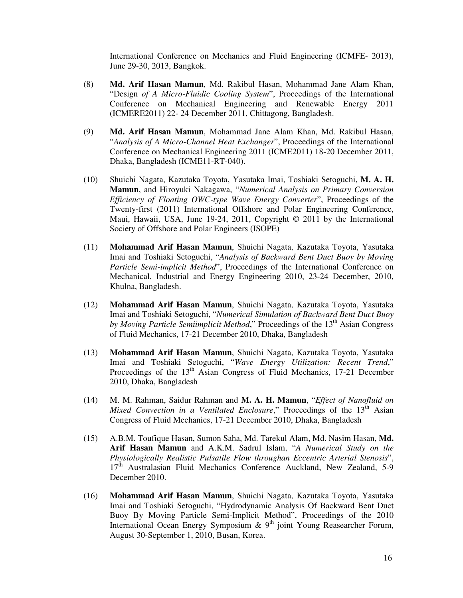International Conference on Mechanics and Fluid Engineering (ICMFE- 2013), June 29-30, 2013, Bangkok.

- (8) **Md. Arif Hasan Mamun**, Md. Rakibul Hasan, Mohammad Jane Alam Khan, "Design *of A Micro-Fluidic Cooling System*", Proceedings of the International Conference on Mechanical Engineering and Renewable Energy 2011 (ICMERE2011) 22- 24 December 2011, Chittagong, Bangladesh.
- (9) **Md. Arif Hasan Mamun**, Mohammad Jane Alam Khan, Md. Rakibul Hasan, "*Analysis of A Micro-Channel Heat Exchanger*", Proceedings of the International Conference on Mechanical Engineering 2011 (ICME2011) 18-20 December 2011, Dhaka, Bangladesh (ICME11-RT-040).
- (10) Shuichi Nagata, Kazutaka Toyota, Yasutaka Imai, Toshiaki Setoguchi, **M. A. H. Mamun**, and Hiroyuki Nakagawa, "*Numerical Analysis on Primary Conversion Efficiency of Floating OWC-type Wave Energy Converter*", Proceedings of the Twenty-first (2011) International Offshore and Polar Engineering Conference, Maui, Hawaii, USA, June 19-24, 2011, Copyright  $\odot$  2011 by the International Society of Offshore and Polar Engineers (ISOPE)
- (11) **Mohammad Arif Hasan Mamun**, Shuichi Nagata, Kazutaka Toyota, Yasutaka Imai and Toshiaki Setoguchi, "*Analysis of Backward Bent Duct Buoy by Moving Particle Semi-implicit Method*", Proceedings of the International Conference on Mechanical, Industrial and Energy Engineering 2010, 23-24 December, 2010, Khulna, Bangladesh.
- (12) **Mohammad Arif Hasan Mamun**, Shuichi Nagata, Kazutaka Toyota, Yasutaka Imai and Toshiaki Setoguchi, "*Numerical Simulation of Backward Bent Duct Buoy by Moving Particle Semiimplicit Method*," Proceedings of the 13<sup>th</sup> Asian Congress of Fluid Mechanics, 17-21 December 2010, Dhaka, Bangladesh
- (13) **Mohammad Arif Hasan Mamun**, Shuichi Nagata, Kazutaka Toyota, Yasutaka Imai and Toshiaki Setoguchi, "*Wave Energy Utilization: Recent Trend*," Proceedings of the  $13<sup>th</sup>$  Asian Congress of Fluid Mechanics, 17-21 December 2010, Dhaka, Bangladesh
- (14) M. M. Rahman, Saidur Rahman and **M. A. H. Mamun**, "*Effect of Nanofluid on Mixed Convection in a Ventilated Enclosure*," Proceedings of the 13<sup>th</sup> Asian Congress of Fluid Mechanics, 17-21 December 2010, Dhaka, Bangladesh
- (15) A.B.M. Toufique Hasan, Sumon Saha, Md. Tarekul Alam, Md. Nasim Hasan, **Md. Arif Hasan Mamun** and A.K.M. Sadrul Islam, "*A Numerical Study on the Physiologically Realistic Pulsatile Flow throughan Eccentric Arterial Stenosis*", 17<sup>th</sup> Australasian Fluid Mechanics Conference Auckland, New Zealand, 5-9 December 2010.
- (16) **Mohammad Arif Hasan Mamun**, Shuichi Nagata, Kazutaka Toyota, Yasutaka Imai and Toshiaki Setoguchi, "Hydrodynamic Analysis Of Backward Bent Duct Buoy By Moving Particle Semi-Implicit Method", Proceedings of the 2010 International Ocean Energy Symposium  $\&$  9<sup>th</sup> joint Young Reasearcher Forum, August 30-September 1, 2010, Busan, Korea.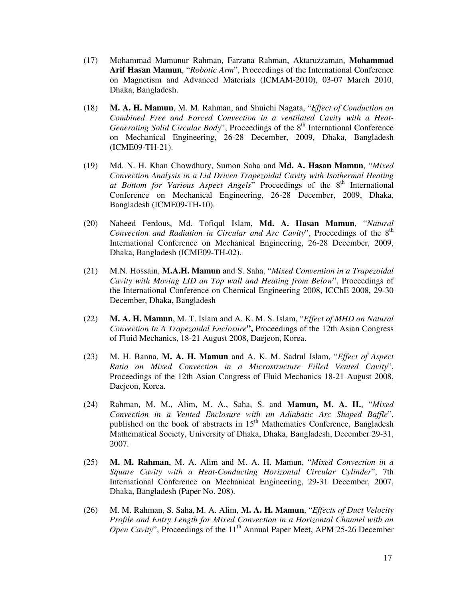- (17) Mohammad Mamunur Rahman, Farzana Rahman, Aktaruzzaman, **Mohammad Arif Hasan Mamun**, "*Robotic Arm*", Proceedings of the International Conference on Magnetism and Advanced Materials (ICMAM-2010), 03-07 March 2010, Dhaka, Bangladesh.
- (18) **M. A. H. Mamun**, M. M. Rahman, and Shuichi Nagata, "*Effect of Conduction on Combined Free and Forced Convection in a ventilated Cavity with a Heat-Generating Solid Circular Body*", Proceedings of the 8<sup>th</sup> International Conference on Mechanical Engineering, 26-28 December, 2009, Dhaka, Bangladesh (ICME09-TH-21).
- (19) Md. N. H. Khan Chowdhury, Sumon Saha and **Md. A. Hasan Mamun**, "*Mixed Convection Analysis in a Lid Driven Trapezoidal Cavity with Isothermal Heating*  at Bottom for Various Aspect Angels" Proceedings of the 8<sup>th</sup> International Conference on Mechanical Engineering, 26-28 December, 2009, Dhaka, Bangladesh (ICME09-TH-10).
- (20) Naheed Ferdous, Md. Tofiqul Islam, **Md. A. Hasan Mamun**, "*Natural Convection and Radiation in Circular and Arc Cavity*", Proceedings of the 8<sup>th</sup> International Conference on Mechanical Engineering, 26-28 December, 2009, Dhaka, Bangladesh (ICME09-TH-02).
- (21) M.N. Hossain, **M.A.H. Mamun** and S. Saha, "*Mixed Convention in a Trapezoidal Cavity with Moving LID an Top wall and Heating from Below*", Proceedings of the International Conference on Chemical Engineering 2008, ICChE 2008, 29-30 December, Dhaka, Bangladesh
- (22) **M. A. H. Mamun**, M. T. Islam and A. K. M. S. Islam, "*Effect of MHD on Natural Convection In A Trapezoidal Enclosure***",** Proceedings of the 12th Asian Congress of Fluid Mechanics, 18-21 August 2008, Daejeon, Korea.
- (23) M. H. Banna, **M. A. H. Mamun** and A. K. M. Sadrul Islam, "*Effect of Aspect Ratio on Mixed Convection in a Microstructure Filled Vented Cavity*", Proceedings of the 12th Asian Congress of Fluid Mechanics 18-21 August 2008, Daejeon, Korea.
- (24) Rahman, M. M., Alim, M. A., Saha, S. and **Mamun, M. A. H.**, "*Mixed Convection in a Vented Enclosure with an Adiabatic Arc Shaped Baffle*", published on the book of abstracts in  $15<sup>th</sup>$  Mathematics Conference, Bangladesh Mathematical Society, University of Dhaka, Dhaka, Bangladesh, December 29-31, 2007.
- (25) **M. M. Rahman**, M. A. Alim and M. A. H. Mamun, "*Mixed Convection in a Square Cavity with a Heat-Conducting Horizontal Circular Cylinder*", 7th International Conference on Mechanical Engineering, 29-31 December, 2007, Dhaka, Bangladesh (Paper No. 208).
- (26) M. M. Rahman, S. Saha, M. A. Alim, **M. A. H. Mamun**, "*Effects of Duct Velocity Profile and Entry Length for Mixed Convection in a Horizontal Channel with an Open Cavity*", Proceedings of the 11<sup>th</sup> Annual Paper Meet, APM 25-26 December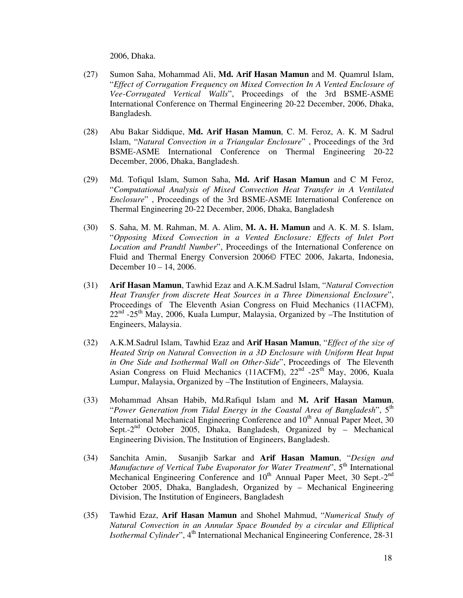2006, Dhaka.

- (27) Sumon Saha, Mohammad Ali, **Md. Arif Hasan Mamun** and M. Quamrul Islam, "*Effect of Corrugation Frequency on Mixed Convection In A Vented Enclosure of Vee-Corrugated Vertical Walls*", Proceedings of the 3rd BSME-ASME International Conference on Thermal Engineering 20-22 December, 2006, Dhaka, Bangladesh.
- (28) Abu Bakar Siddique, **Md. Arif Hasan Mamun**, C. M. Feroz, A. K. M Sadrul Islam, "*Natural Convection in a Triangular Enclosure*" , Proceedings of the 3rd BSME-ASME International Conference on Thermal Engineering 20-22 December, 2006, Dhaka, Bangladesh.
- (29) Md. Tofiqul Islam, Sumon Saha, **Md. Arif Hasan Mamun** and C M Feroz, "*Computational Analysis of Mixed Convection Heat Transfer in A Ventilated Enclosure*" , Proceedings of the 3rd BSME-ASME International Conference on Thermal Engineering 20-22 December, 2006, Dhaka, Bangladesh
- (30) S. Saha, M. M. Rahman, M. A. Alim, **M. A. H. Mamun** and A. K. M. S. Islam, "*Opposing Mixed Convection in a Vented Enclosure: Effects of Inlet Port Location and Prandtl Number*", Proceedings of the International Conference on Fluid and Thermal Energy Conversion 2006© FTEC 2006, Jakarta, Indonesia, December 10 – 14, 2006.
- (31) **Arif Hasan Mamun**, Tawhid Ezaz and A.K.M.Sadrul Islam, "*Natural Convection Heat Transfer from discrete Heat Sources in a Three Dimensional Enclosure*", Proceedings of The Eleventh Asian Congress on Fluid Mechanics (11ACFM),  $22<sup>nd</sup>$  -25<sup>th</sup> May, 2006, Kuala Lumpur, Malaysia, Organized by –The Institution of Engineers, Malaysia.
- (32) A.K.M.Sadrul Islam, Tawhid Ezaz and **Arif Hasan Mamun**, "*Effect of the size of Heated Strip on Natural Convection in a 3D Enclosure with Uniform Heat Input in One Side and Isothermal Wall on Other-Side*", Proceedings of The Eleventh Asian Congress on Fluid Mechanics (11ACFM),  $22<sup>nd</sup> -25<sup>th</sup>$  May, 2006, Kuala Lumpur, Malaysia, Organized by –The Institution of Engineers, Malaysia.
- (33) Mohammad Ahsan Habib, Md.Rafiqul Islam and **M. Arif Hasan Mamun**, "*Power Generation from Tidal Energy in the Coastal Area of Bangladesh*", 5th International Mechanical Engineering Conference and  $10<sup>th</sup>$  Annual Paper Meet, 30 Sept.- $2^{nd}$  October 2005, Dhaka, Bangladesh, Organized by – Mechanical Engineering Division, The Institution of Engineers, Bangladesh.
- (34) Sanchita Amin, Susanjib Sarkar and **Arif Hasan Mamun**, "*Design and Manufacture of Vertical Tube Evaporator for Water Treatment*", 5<sup>th</sup> International Mechanical Engineering Conference and 10<sup>th</sup> Annual Paper Meet, 30 Sept.-2<sup>nd</sup> October 2005, Dhaka, Bangladesh, Organized by – Mechanical Engineering Division, The Institution of Engineers, Bangladesh
- (35) Tawhid Ezaz, **Arif Hasan Mamun** and Shohel Mahmud, "*Numerical Study of Natural Convection in an Annular Space Bounded by a circular and Elliptical Isothermal Cylinder*", 4<sup>th</sup> International Mechanical Engineering Conference, 28-31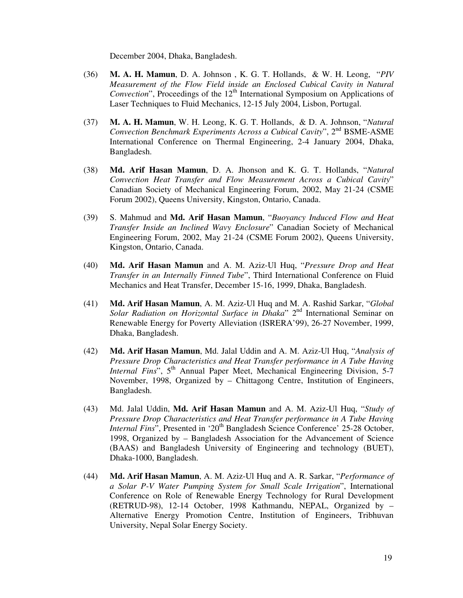December 2004, Dhaka, Bangladesh.

- (36) **M. A. H. Mamun**, D. A. Johnson , K. G. T. Hollands, & W. H. Leong, "*PIV Measurement of the Flow Field inside an Enclosed Cubical Cavity in Natural Convection*", Proceedings of the 12<sup>th</sup> International Symposium on Applications of Laser Techniques to Fluid Mechanics, 12-15 July 2004, Lisbon, Portugal.
- (37) **M. A. H. Mamun**, W. H. Leong, K. G. T. Hollands, & D. A. Johnson, "*Natural Convection Benchmark Experiments Across a Cubical Cavity*", 2nd BSME-ASME International Conference on Thermal Engineering, 2-4 January 2004, Dhaka, Bangladesh.
- (38) **Md. Arif Hasan Mamun**, D. A. Jhonson and K. G. T. Hollands, "*Natural Convection Heat Transfer and Flow Measurement Across a Cubical Cavity*" Canadian Society of Mechanical Engineering Forum, 2002, May 21-24 (CSME Forum 2002), Queens University, Kingston, Ontario, Canada.
- (39) S. Mahmud and **Md. Arif Hasan Mamun**, "*Buoyancy Induced Flow and Heat Transfer Inside an Inclined Wavy Enclosure*" Canadian Society of Mechanical Engineering Forum, 2002, May 21-24 (CSME Forum 2002), Queens University, Kingston, Ontario, Canada.
- (40) **Md. Arif Hasan Mamun** and A. M. Aziz-Ul Huq, "*Pressure Drop and Heat Transfer in an Internally Finned Tube*", Third International Conference on Fluid Mechanics and Heat Transfer, December 15-16, 1999, Dhaka, Bangladesh.
- (41) **Md. Arif Hasan Mamun**, A. M. Aziz-Ul Huq and M. A. Rashid Sarkar, "*Global*  Solar Radiation on Horizontal Surface in Dhaka" 2<sup>nd</sup> International Seminar on Renewable Energy for Poverty Alleviation (ISRERA'99), 26-27 November, 1999, Dhaka, Bangladesh.
- (42) **Md. Arif Hasan Mamun**, Md. Jalal Uddin and A. M. Aziz-Ul Huq, "*Analysis of Pressure Drop Characteristics and Heat Transfer performance in A Tube Having Internal Fins*", 5<sup>th</sup> Annual Paper Meet, Mechanical Engineering Division, 5-7 November, 1998, Organized by – Chittagong Centre, Institution of Engineers, Bangladesh.
- (43) Md. Jalal Uddin, **Md. Arif Hasan Mamun** and A. M. Aziz-Ul Huq, "*Study of Pressure Drop Characteristics and Heat Transfer performance in A Tube Having Internal Fins*", Presented in '20<sup>th</sup> Bangladesh Science Conference' 25-28 October, 1998, Organized by – Bangladesh Association for the Advancement of Science (BAAS) and Bangladesh University of Engineering and technology (BUET), Dhaka-1000, Bangladesh.
- (44) **Md. Arif Hasan Mamun**, A. M. Aziz-Ul Huq and A. R. Sarkar, "*Performance of a Solar P-V Water Pumping System for Small Scale Irrigation*", International Conference on Role of Renewable Energy Technology for Rural Development (RETRUD-98), 12-14 October, 1998 Kathmandu, NEPAL, Organized by – Alternative Energy Promotion Centre, Institution of Engineers, Tribhuvan University, Nepal Solar Energy Society.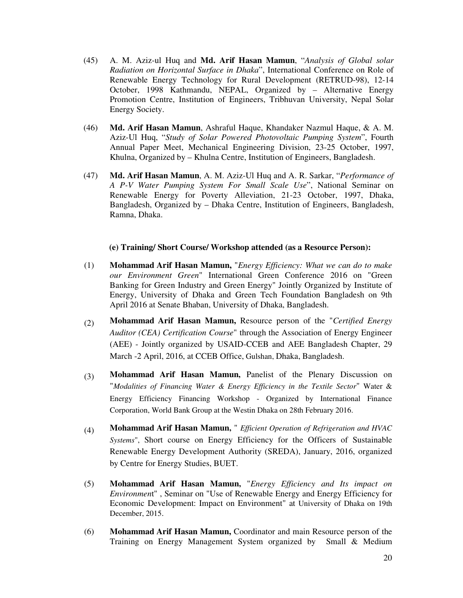- (45) A. M. Aziz-ul Huq and **Md. Arif Hasan Mamun**, "*Analysis of Global solar Radiation on Horizontal Surface in Dhaka*", International Conference on Role of Renewable Energy Technology for Rural Development (RETRUD-98), 12-14 October, 1998 Kathmandu, NEPAL, Organized by – Alternative Energy Promotion Centre, Institution of Engineers, Tribhuvan University, Nepal Solar Energy Society.
- (46) **Md. Arif Hasan Mamun**, Ashraful Haque, Khandaker Nazmul Haque, & A. M. Aziz-Ul Huq, "*Study of Solar Powered Photovoltaic Pumping System*", Fourth Annual Paper Meet, Mechanical Engineering Division, 23-25 October, 1997, Khulna, Organized by – Khulna Centre, Institution of Engineers, Bangladesh.
- (47) **Md. Arif Hasan Mamun**, A. M. Aziz-Ul Huq and A. R. Sarkar, "*Performance of A P-V Water Pumping System For Small Scale Use*", National Seminar on Renewable Energy for Poverty Alleviation, 21-23 October, 1997, Dhaka, Bangladesh, Organized by – Dhaka Centre, Institution of Engineers, Bangladesh, Ramna, Dhaka.

#### **(e) Training/ Short Course/ Workshop attended (as a Resource Person):**

- (1) **Mohammad Arif Hasan Mamun,** "*Energy Efficiency: What we can do to make our Environment Green*" International Green Conference 2016 on "Green Banking for Green Industry and Green Energy" Jointly Organized by Institute of Energy, University of Dhaka and Green Tech Foundation Bangladesh on 9th April 2016 at Senate Bhaban, University of Dhaka, Bangladesh.
- (2) **Mohammad Arif Hasan Mamun,** Resource person of the "*Certified Energy Auditor (CEA) Certification Course*" through the Association of Energy Engineer (AEE) - Jointly organized by USAID-CCEB and AEE Bangladesh Chapter, 29 March -2 April, 2016, at CCEB Office, Gulshan, Dhaka, Bangladesh.
- (3) **Mohammad Arif Hasan Mamun,** Panelist of the Plenary Discussion on "*Modalities of Financing Water & Energy Efficiency in the Textile Sector*" Water & Energy Efficiency Financing Workshop - Organized by International Finance Corporation, World Bank Group at the Westin Dhaka on 28th February 2016.
- (4) **Mohammad Arif Hasan Mamun,** " *Efficient Operation of Refrigeration and HVAC Systems*", Short course on Energy Efficiency for the Officers of Sustainable Renewable Energy Development Authority (SREDA), January, 2016, organized by Centre for Energy Studies, BUET.
- (5) **Mohammad Arif Hasan Mamun,** "*Energy Efficiency and Its impact on Environmen*t" , Seminar on "Use of Renewable Energy and Energy Efficiency for Economic Development: Impact on Environment" at University of Dhaka on 19th December, 2015.
- (6) **Mohammad Arif Hasan Mamun,** Coordinator and main Resource person of the Training on Energy Management System organized by Small & Medium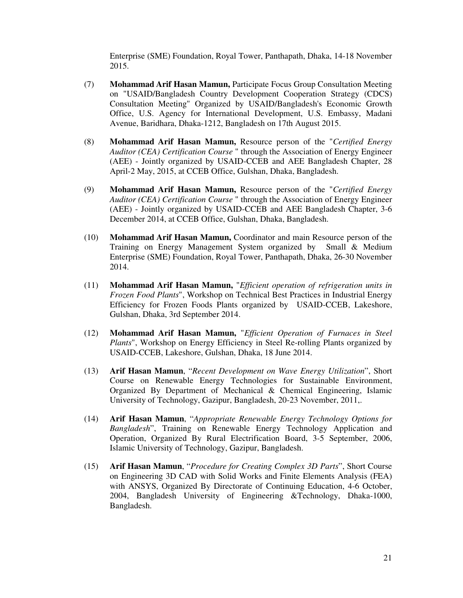Enterprise (SME) Foundation, Royal Tower, Panthapath, Dhaka, 14-18 November 2015.

- (7) **Mohammad Arif Hasan Mamun,** Participate Focus Group Consultation Meeting on "USAID/Bangladesh Country Development Cooperation Strategy (CDCS) Consultation Meeting" Organized by USAID/Bangladesh's Economic Growth Office, U.S. Agency for International Development, U.S. Embassy, Madani Avenue, Baridhara, Dhaka-1212, Bangladesh on 17th August 2015.
- (8) **Mohammad Arif Hasan Mamun,** Resource person of the "*Certified Energy Auditor (CEA) Certification Course* " through the Association of Energy Engineer (AEE) - Jointly organized by USAID-CCEB and AEE Bangladesh Chapter, 28 April-2 May, 2015, at CCEB Office, Gulshan, Dhaka, Bangladesh.
- (9) **Mohammad Arif Hasan Mamun,** Resource person of the "*Certified Energy Auditor (CEA) Certification Course* " through the Association of Energy Engineer (AEE) - Jointly organized by USAID-CCEB and AEE Bangladesh Chapter, 3-6 December 2014, at CCEB Office, Gulshan, Dhaka, Bangladesh.
- (10) **Mohammad Arif Hasan Mamun,** Coordinator and main Resource person of the Training on Energy Management System organized by Small & Medium Enterprise (SME) Foundation, Royal Tower, Panthapath, Dhaka, 26-30 November 2014.
- (11) **Mohammad Arif Hasan Mamun,** "*Efficient operation of refrigeration units in Frozen Food Plants*", Workshop on Technical Best Practices in Industrial Energy Efficiency for Frozen Foods Plants organized by USAID-CCEB, Lakeshore, Gulshan, Dhaka, 3rd September 2014.
- (12) **Mohammad Arif Hasan Mamun,** "*Efficient Operation of Furnaces in Steel Plants*", Workshop on Energy Efficiency in Steel Re-rolling Plants organized by USAID-CCEB, Lakeshore, Gulshan, Dhaka, 18 June 2014.
- (13) **Arif Hasan Mamun**, "*Recent Development on Wave Energy Utilization*", Short Course on Renewable Energy Technologies for Sustainable Environment, Organized By Department of Mechanical & Chemical Engineering, Islamic University of Technology, Gazipur, Bangladesh, 20-23 November, 2011,.
- (14) **Arif Hasan Mamun**, "*Appropriate Renewable Energy Technology Options for Bangladesh*", Training on Renewable Energy Technology Application and Operation, Organized By Rural Electrification Board, 3-5 September, 2006, Islamic University of Technology, Gazipur, Bangladesh.
- (15) **Arif Hasan Mamun**, "*Procedure for Creating Complex 3D Parts*", Short Course on Engineering 3D CAD with Solid Works and Finite Elements Analysis (FEA) with ANSYS, Organized By Directorate of Continuing Education, 4-6 October, 2004, Bangladesh University of Engineering &Technology, Dhaka-1000, Bangladesh.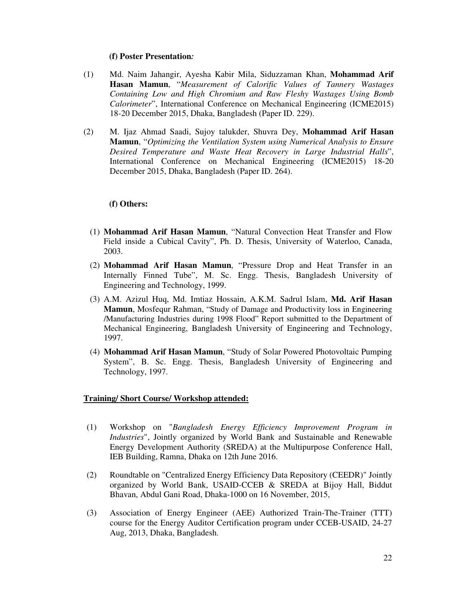#### **(f) Poster Presentation***:*

- (1) Md. Naim Jahangir, Ayesha Kabir Mila, Siduzzaman Khan, **Mohammad Arif Hasan Mamun**, "*Measurement of Calorific Values of Tannery Wastages Containing Low and High Chromium and Raw Fleshy Wastages Using Bomb Calorimeter*", International Conference on Mechanical Engineering (ICME2015) 18-20 December 2015, Dhaka, Bangladesh (Paper ID. 229).
- (2) M. Ijaz Ahmad Saadi, Sujoy talukder, Shuvra Dey, **Mohammad Arif Hasan Mamun**, "*Optimizing the Ventilation System using Numerical Analysis to Ensure Desired Temperature and Waste Heat Recovery in Large Industrial Halls*", International Conference on Mechanical Engineering (ICME2015) 18-20 December 2015, Dhaka, Bangladesh (Paper ID. 264).

#### **(f) Others:**

- (1) **Mohammad Arif Hasan Mamun**, "Natural Convection Heat Transfer and Flow Field inside a Cubical Cavity", Ph. D. Thesis, University of Waterloo, Canada, 2003.
- (2) **Mohammad Arif Hasan Mamun**, "Pressure Drop and Heat Transfer in an Internally Finned Tube", M. Sc. Engg. Thesis, Bangladesh University of Engineering and Technology, 1999.
- (3) A.M. Azizul Huq, Md. Imtiaz Hossain, A.K.M. Sadrul Islam, **Md. Arif Hasan Mamun**, Mosfequr Rahman, "Study of Damage and Productivity loss in Engineering /Manufacturing Industries during 1998 Flood" Report submitted to the Department of Mechanical Engineering, Bangladesh University of Engineering and Technology, 1997.
- (4) **Mohammad Arif Hasan Mamun**, "Study of Solar Powered Photovoltaic Pumping System", B. Sc. Engg. Thesis, Bangladesh University of Engineering and Technology, 1997.

#### **Training/ Short Course/ Workshop attended:**

- (1) Workshop on "*Bangladesh Energy Efficiency Improvement Program in Industries*", Jointly organized by World Bank and Sustainable and Renewable Energy Development Authority (SREDA) at the Multipurpose Conference Hall, IEB Building, Ramna, Dhaka on 12th June 2016.
- (2) Roundtable on "Centralized Energy Efficiency Data Repository (CEEDR)" Jointly organized by World Bank, USAID-CCEB & SREDA at Bijoy Hall, Biddut Bhavan, Abdul Gani Road, Dhaka-1000 on 16 November, 2015,
- (3) Association of Energy Engineer (AEE) Authorized Train-The-Trainer (TTT) course for the Energy Auditor Certification program under CCEB-USAID, 24-27 Aug, 2013, Dhaka, Bangladesh.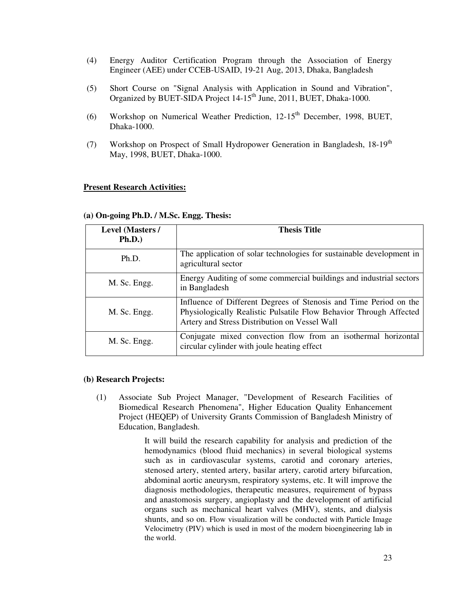- (4) Energy Auditor Certification Program through the Association of Energy Engineer (AEE) under CCEB-USAID, 19-21 Aug, 2013, Dhaka, Bangladesh
- (5) Short Course on "Signal Analysis with Application in Sound and Vibration", Organized by BUET-SIDA Project 14-15<sup>th</sup> June, 2011, BUET, Dhaka-1000.
- (6) Workshop on Numerical Weather Prediction, 12-15<sup>th</sup> December, 1998, BUET, Dhaka-1000.
- (7) Workshop on Prospect of Small Hydropower Generation in Bangladesh,  $18-19<sup>th</sup>$ May, 1998, BUET, Dhaka-1000.

#### **Present Research Activities:**

| <b>Level (Masters /</b><br>Ph.D.) | <b>Thesis Title</b>                                                                                                                                                                      |
|-----------------------------------|------------------------------------------------------------------------------------------------------------------------------------------------------------------------------------------|
| Ph.D.                             | The application of solar technologies for sustainable development in<br>agricultural sector                                                                                              |
| M. Sc. Engg.                      | Energy Auditing of some commercial buildings and industrial sectors<br>in Bangladesh                                                                                                     |
| M. Sc. Engg.                      | Influence of Different Degrees of Stenosis and Time Period on the<br>Physiologically Realistic Pulsatile Flow Behavior Through Affected<br>Artery and Stress Distribution on Vessel Wall |
| M. Sc. Engg.                      | Conjugate mixed convection flow from an isothermal horizontal<br>circular cylinder with joule heating effect                                                                             |

#### **(a) On-going Ph.D. / M.Sc. Engg. Thesis:**

#### **(b) Research Projects:**

(1) Associate Sub Project Manager, "Development of Research Facilities of Biomedical Research Phenomena", Higher Education Quality Enhancement Project (HEQEP) of University Grants Commission of Bangladesh Ministry of Education, Bangladesh.

> It will build the research capability for analysis and prediction of the hemodynamics (blood fluid mechanics) in several biological systems such as in cardiovascular systems, carotid and coronary arteries, stenosed artery, stented artery, basilar artery, carotid artery bifurcation, abdominal aortic aneurysm, respiratory systems, etc. It will improve the diagnosis methodologies, therapeutic measures, requirement of bypass and anastomosis surgery, angioplasty and the development of artificial organs such as mechanical heart valves (MHV), stents, and dialysis shunts, and so on. Flow visualization will be conducted with Particle Image Velocimetry (PIV) which is used in most of the modern bioengineering lab in the world.